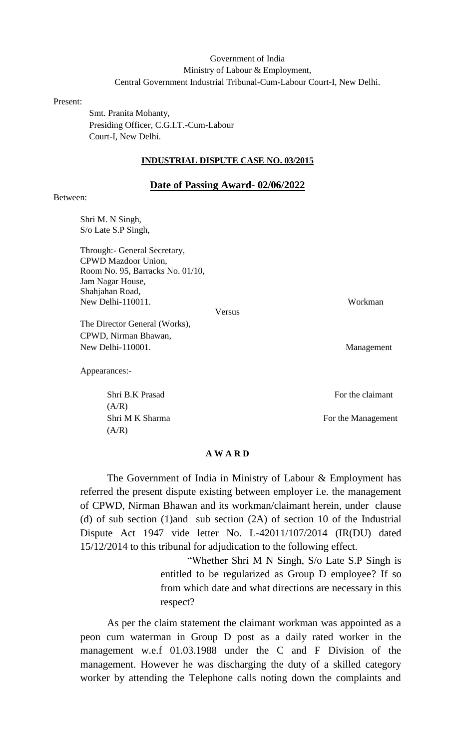# Government of India Ministry of Labour & Employment, Central Government Industrial Tribunal-Cum-Labour Court-I, New Delhi.

Present:

 Smt. Pranita Mohanty, Presiding Officer, C.G.I.T.-Cum-Labour Court-I, New Delhi.

#### **INDUSTRIAL DISPUTE CASE NO. 03/2015**

#### **Date of Passing Award- 02/06/2022**

## Between:

Shri M. N Singh, S/o Late S.P Singh,

Through:- General Secretary, CPWD Mazdoor Union, Room No. 95, Barracks No. 01/10, Jam Nagar House, Shahjahan Road, New Delhi-110011. Workman

Versus

The Director General (Works), CPWD, Nirman Bhawan, New Delhi-110001. Management

Appearances:-

 $(A/R)$  $(A/R)$ 

Shri B.K Prasad For the claimant

Shri M K Sharma For the Management

### **A W A R D**

The Government of India in Ministry of Labour & Employment has referred the present dispute existing between employer i.e. the management of CPWD, Nirman Bhawan and its workman/claimant herein, under clause (d) of sub section (1)and sub section (2A) of section 10 of the Industrial Dispute Act 1947 vide letter No. L-42011/107/2014 (IR(DU) dated 15/12/2014 to this tribunal for adjudication to the following effect.

> "Whether Shri M N Singh, S/o Late S.P Singh is entitled to be regularized as Group D employee? If so from which date and what directions are necessary in this respect?

As per the claim statement the claimant workman was appointed as a peon cum waterman in Group D post as a daily rated worker in the management w.e.f 01.03.1988 under the C and F Division of the management. However he was discharging the duty of a skilled category worker by attending the Telephone calls noting down the complaints and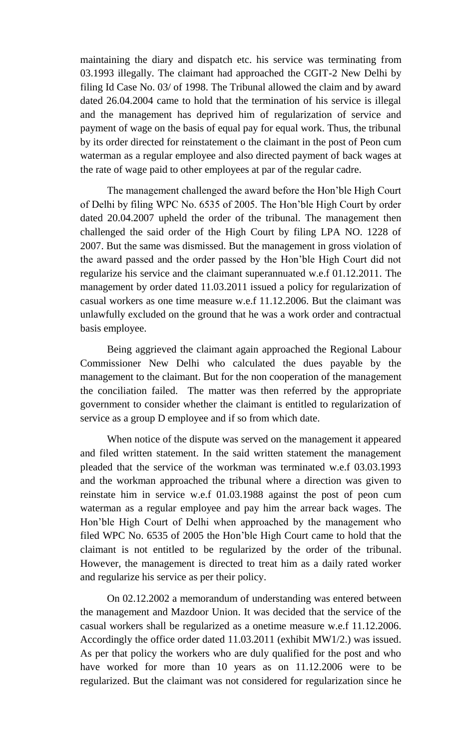maintaining the diary and dispatch etc. his service was terminating from 03.1993 illegally. The claimant had approached the CGIT-2 New Delhi by filing Id Case No. 03/ of 1998. The Tribunal allowed the claim and by award dated 26.04.2004 came to hold that the termination of his service is illegal and the management has deprived him of regularization of service and payment of wage on the basis of equal pay for equal work. Thus, the tribunal by its order directed for reinstatement o the claimant in the post of Peon cum waterman as a regular employee and also directed payment of back wages at the rate of wage paid to other employees at par of the regular cadre.

The management challenged the award before the Hon'ble High Court of Delhi by filing WPC No. 6535 of 2005. The Hon'ble High Court by order dated 20.04.2007 upheld the order of the tribunal. The management then challenged the said order of the High Court by filing LPA NO. 1228 of 2007. But the same was dismissed. But the management in gross violation of the award passed and the order passed by the Hon'ble High Court did not regularize his service and the claimant superannuated w.e.f 01.12.2011. The management by order dated 11.03.2011 issued a policy for regularization of casual workers as one time measure w.e.f 11.12.2006. But the claimant was unlawfully excluded on the ground that he was a work order and contractual basis employee.

Being aggrieved the claimant again approached the Regional Labour Commissioner New Delhi who calculated the dues payable by the management to the claimant. But for the non cooperation of the management the conciliation failed. The matter was then referred by the appropriate government to consider whether the claimant is entitled to regularization of service as a group D employee and if so from which date.

When notice of the dispute was served on the management it appeared and filed written statement. In the said written statement the management pleaded that the service of the workman was terminated w.e.f 03.03.1993 and the workman approached the tribunal where a direction was given to reinstate him in service w.e.f 01.03.1988 against the post of peon cum waterman as a regular employee and pay him the arrear back wages. The Hon'ble High Court of Delhi when approached by the management who filed WPC No. 6535 of 2005 the Hon'ble High Court came to hold that the claimant is not entitled to be regularized by the order of the tribunal. However, the management is directed to treat him as a daily rated worker and regularize his service as per their policy.

On 02.12.2002 a memorandum of understanding was entered between the management and Mazdoor Union. It was decided that the service of the casual workers shall be regularized as a onetime measure w.e.f 11.12.2006. Accordingly the office order dated 11.03.2011 (exhibit MW1/2.) was issued. As per that policy the workers who are duly qualified for the post and who have worked for more than 10 years as on 11.12.2006 were to be regularized. But the claimant was not considered for regularization since he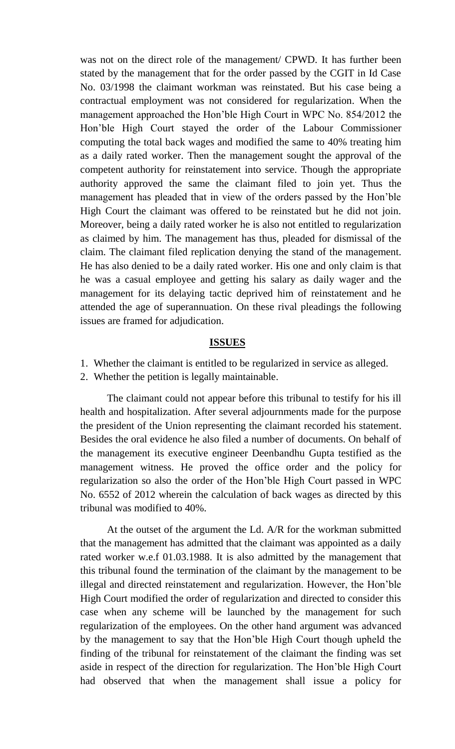was not on the direct role of the management/ CPWD. It has further been stated by the management that for the order passed by the CGIT in Id Case No. 03/1998 the claimant workman was reinstated. But his case being a contractual employment was not considered for regularization. When the management approached the Hon'ble High Court in WPC No. 854/2012 the Hon'ble High Court stayed the order of the Labour Commissioner computing the total back wages and modified the same to 40% treating him as a daily rated worker. Then the management sought the approval of the competent authority for reinstatement into service. Though the appropriate authority approved the same the claimant filed to join yet. Thus the management has pleaded that in view of the orders passed by the Hon'ble High Court the claimant was offered to be reinstated but he did not join. Moreover, being a daily rated worker he is also not entitled to regularization as claimed by him. The management has thus, pleaded for dismissal of the claim. The claimant filed replication denying the stand of the management. He has also denied to be a daily rated worker. His one and only claim is that he was a casual employee and getting his salary as daily wager and the management for its delaying tactic deprived him of reinstatement and he attended the age of superannuation. On these rival pleadings the following issues are framed for adjudication.

## **ISSUES**

- 1. Whether the claimant is entitled to be regularized in service as alleged.
- 2. Whether the petition is legally maintainable.

The claimant could not appear before this tribunal to testify for his ill health and hospitalization. After several adjournments made for the purpose the president of the Union representing the claimant recorded his statement. Besides the oral evidence he also filed a number of documents. On behalf of the management its executive engineer Deenbandhu Gupta testified as the management witness. He proved the office order and the policy for regularization so also the order of the Hon'ble High Court passed in WPC No. 6552 of 2012 wherein the calculation of back wages as directed by this tribunal was modified to 40%.

At the outset of the argument the Ld. A/R for the workman submitted that the management has admitted that the claimant was appointed as a daily rated worker w.e.f 01.03.1988. It is also admitted by the management that this tribunal found the termination of the claimant by the management to be illegal and directed reinstatement and regularization. However, the Hon'ble High Court modified the order of regularization and directed to consider this case when any scheme will be launched by the management for such regularization of the employees. On the other hand argument was advanced by the management to say that the Hon'ble High Court though upheld the finding of the tribunal for reinstatement of the claimant the finding was set aside in respect of the direction for regularization. The Hon'ble High Court had observed that when the management shall issue a policy for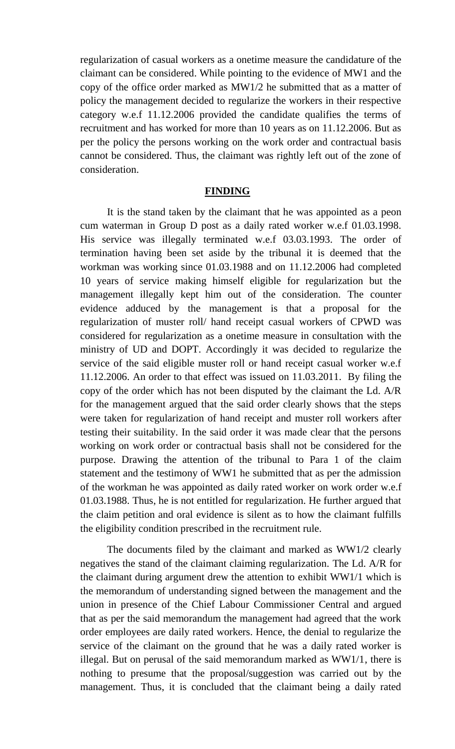regularization of casual workers as a onetime measure the candidature of the claimant can be considered. While pointing to the evidence of MW1 and the copy of the office order marked as MW1/2 he submitted that as a matter of policy the management decided to regularize the workers in their respective category w.e.f 11.12.2006 provided the candidate qualifies the terms of recruitment and has worked for more than 10 years as on 11.12.2006. But as per the policy the persons working on the work order and contractual basis cannot be considered. Thus, the claimant was rightly left out of the zone of consideration.

# **FINDING**

It is the stand taken by the claimant that he was appointed as a peon cum waterman in Group D post as a daily rated worker w.e.f 01.03.1998. His service was illegally terminated w.e.f 03.03.1993. The order of termination having been set aside by the tribunal it is deemed that the workman was working since 01.03.1988 and on 11.12.2006 had completed 10 years of service making himself eligible for regularization but the management illegally kept him out of the consideration. The counter evidence adduced by the management is that a proposal for the regularization of muster roll/ hand receipt casual workers of CPWD was considered for regularization as a onetime measure in consultation with the ministry of UD and DOPT. Accordingly it was decided to regularize the service of the said eligible muster roll or hand receipt casual worker w.e.f 11.12.2006. An order to that effect was issued on 11.03.2011. By filing the copy of the order which has not been disputed by the claimant the Ld. A/R for the management argued that the said order clearly shows that the steps were taken for regularization of hand receipt and muster roll workers after testing their suitability. In the said order it was made clear that the persons working on work order or contractual basis shall not be considered for the purpose. Drawing the attention of the tribunal to Para 1 of the claim statement and the testimony of WW1 he submitted that as per the admission of the workman he was appointed as daily rated worker on work order w.e.f 01.03.1988. Thus, he is not entitled for regularization. He further argued that the claim petition and oral evidence is silent as to how the claimant fulfills the eligibility condition prescribed in the recruitment rule.

The documents filed by the claimant and marked as WW1/2 clearly negatives the stand of the claimant claiming regularization. The Ld. A/R for the claimant during argument drew the attention to exhibit WW1/1 which is the memorandum of understanding signed between the management and the union in presence of the Chief Labour Commissioner Central and argued that as per the said memorandum the management had agreed that the work order employees are daily rated workers. Hence, the denial to regularize the service of the claimant on the ground that he was a daily rated worker is illegal. But on perusal of the said memorandum marked as WW1/1, there is nothing to presume that the proposal/suggestion was carried out by the management. Thus, it is concluded that the claimant being a daily rated